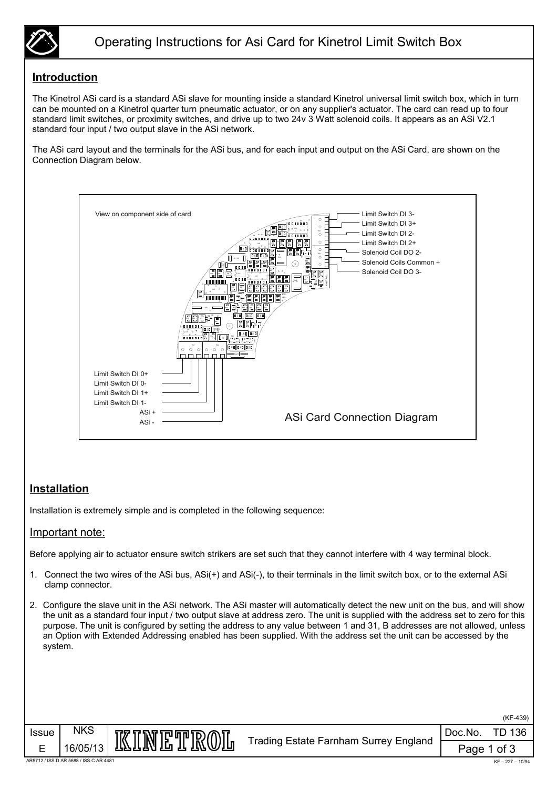

### **Introduction**

The Kinetrol ASi card is a standard ASi slave for mounting inside a standard Kinetrol universal limit switch box, which in turn can be mounted on a Kinetrol quarter turn pneumatic actuator, or on any supplier's actuator. The card can read up to four standard limit switches, or proximity switches, and drive up to two 24v 3 Watt solenoid coils. It appears as an ASi V2.1 standard four input / two output slave in the ASi network.

The ASi card layout and the terminals for the ASi bus, and for each input and output on the ASi Card, are shown on the Connection Diagram below.



#### **Installation**

Installation is extremely simple and is completed in the following sequence:

#### Important note:

Before applying air to actuator ensure switch strikers are set such that they cannot interfere with 4 way terminal block.

- 1. Connect the two wires of the ASi bus, ASi(+) and ASi(-), to their terminals in the limit switch box, or to the external ASi clamp connector.
- 2. Configure the slave unit in the ASi network. The ASi master will automatically detect the new unit on the bus, and will show the unit as a standard four input / two output slave at address zero. The unit is supplied with the address set to zero for this purpose. The unit is configured by setting the address to any value between 1 and 31, B addresses are not allowed, unless an Option with Extended Addressing enabled has been supplied. With the address set the unit can be accessed by the system.





Issue NKS

Doc.No. TD 136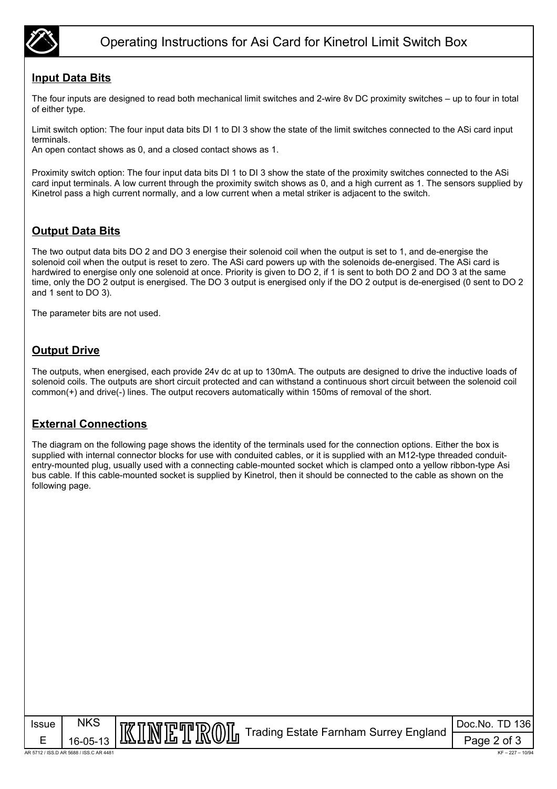

### **Input Data Bits**

The four inputs are designed to read both mechanical limit switches and 2-wire 8v DC proximity switches – up to four in total of either type.

Limit switch option: The four input data bits DI 1 to DI 3 show the state of the limit switches connected to the ASi card input terminals.

An open contact shows as 0, and a closed contact shows as 1.

Proximity switch option: The four input data bits DI 1 to DI 3 show the state of the proximity switches connected to the ASi card input terminals. A low current through the proximity switch shows as 0, and a high current as 1. The sensors supplied by Kinetrol pass a high current normally, and a low current when a metal striker is adjacent to the switch.

### **Output Data Bits**

The two output data bits DO 2 and DO 3 energise their solenoid coil when the output is set to 1, and de-energise the solenoid coil when the output is reset to zero. The ASi card powers up with the solenoids de-energised. The ASi card is hardwired to energise only one solenoid at once. Priority is given to DO 2, if 1 is sent to both DO 2 and DO 3 at the same time, only the DO 2 output is energised. The DO 3 output is energised only if the DO 2 output is de-energised (0 sent to DO 2 and 1 sent to DO 3).

The parameter bits are not used.

## **Output Drive**

The outputs, when energised, each provide 24v dc at up to 130mA. The outputs are designed to drive the inductive loads of solenoid coils. The outputs are short circuit protected and can withstand a continuous short circuit between the solenoid coil common(+) and drive(-) lines. The output recovers automatically within 150ms of removal of the short.

#### **External Connections**

The diagram on the following page shows the identity of the terminals used for the connection options. Either the box is supplied with internal connector blocks for use with conduited cables, or it is supplied with an M12-type threaded conduitentry-mounted plug, usually used with a connecting cable-mounted socket which is clamped onto a yellow ribbon-type Asi bus cable. If this cable-mounted socket is supplied by Kinetrol, then it should be connected to the cable as shown on the following page.

| <b>Issue</b>                            | <b>NKS</b>     | IKINETROIIn Trading Estate Farnham Surrey England | Doc.No. TD 136    |
|-----------------------------------------|----------------|---------------------------------------------------|-------------------|
|                                         | $16 - 05 - 13$ |                                                   | Page 2 of 3       |
| AR 5712 / ISS.D AR 5688 / ISS.C AR 4481 |                |                                                   | $KF - 227 - 10/9$ |